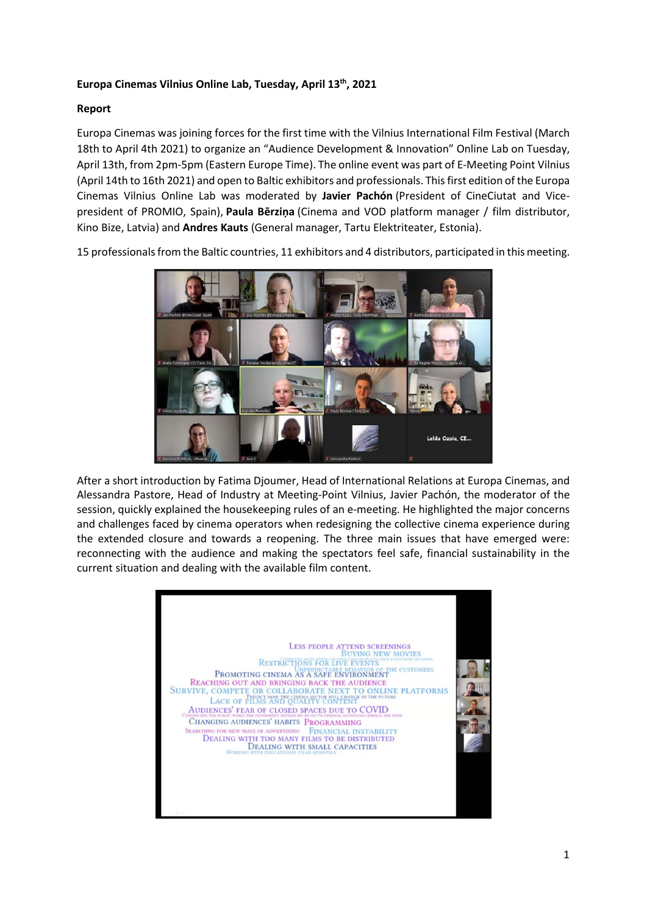## **Europa Cinemas Vilnius Online Lab, Tuesday, April 13th, 2021**

## **Report**

Europa Cinemas was joining forces for the first time with the Vilnius International Film Festival (March 18th to April 4th 2021) to organize an "Audience Development & Innovation" Online Lab on Tuesday, April 13th, from 2pm-5pm (Eastern Europe Time). The online event was part of E-Meeting Point Vilnius (April 14th to 16th 2021) and open to Baltic exhibitors and professionals. This first edition of the Europa Cinemas Vilnius Online Lab was moderated by **Javier Pachón** (President of CineCiutat and Vicepresident of PROMIO, Spain), **Paula Bērziņa** (Cinema and VOD platform manager / film distributor, Kino Bize, Latvia) and **Andres Kauts** (General manager, Tartu Elektriteater, Estonia).

15 professionals from the Baltic countries, 11 exhibitors and 4 distributors, participated in this meeting.



After a short introduction by Fatima Djoumer, Head of International Relations at Europa Cinemas, and Alessandra Pastore, Head of Industry at Meeting-Point Vilnius, Javier Pachón, the moderator of the session, quickly explained the housekeeping rules of an e-meeting. He highlighted the major concerns and challenges faced by cinema operators when redesigning the collective cinema experience during the extended closure and towards a reopening. The three main issues that have emerged were: reconnecting with the audience and making the spectators feel safe, financial sustainability in the current situation and dealing with the available film content.

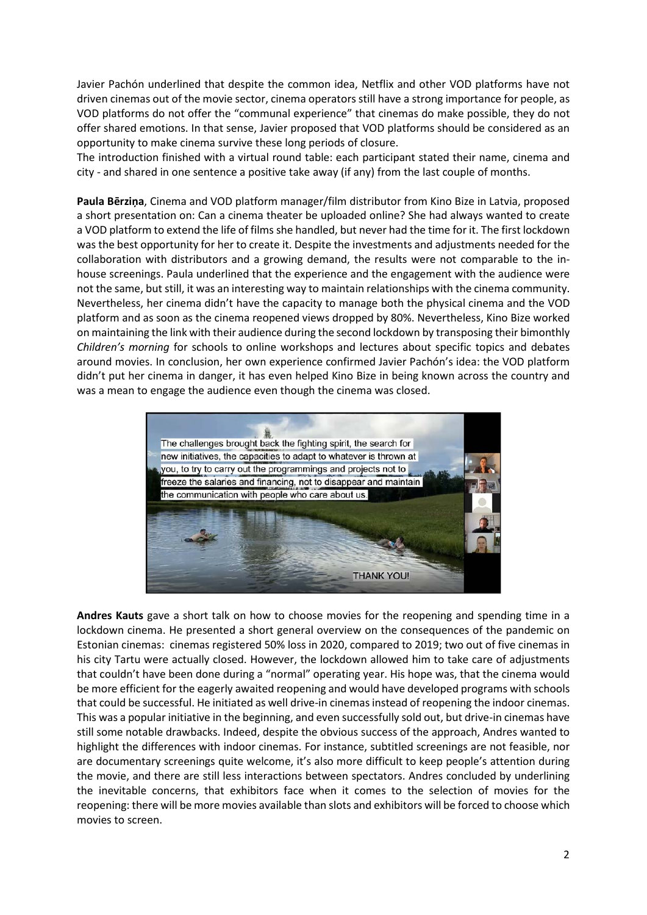Javier Pachón underlined that despite the common idea, Netflix and other VOD platforms have not driven cinemas out of the movie sector, cinema operators still have a strong importance for people, as VOD platforms do not offer the "communal experience" that cinemas do make possible, they do not offer shared emotions. In that sense, Javier proposed that VOD platforms should be considered as an opportunity to make cinema survive these long periods of closure.

The introduction finished with a virtual round table: each participant stated their name, cinema and city - and shared in one sentence a positive take away (if any) from the last couple of months.

**Paula Bērziņa**, Cinema and VOD platform manager/film distributor from Kino Bize in Latvia, proposed a short presentation on: Can a cinema theater be uploaded online? She had always wanted to create a VOD platform to extend the life of films she handled, but never had the time for it. The first lockdown was the best opportunity for her to create it. Despite the investments and adjustments needed for the collaboration with distributors and a growing demand, the results were not comparable to the inhouse screenings. Paula underlined that the experience and the engagement with the audience were not the same, but still, it was an interesting way to maintain relationships with the cinema community. Nevertheless, her cinema didn't have the capacity to manage both the physical cinema and the VOD platform and as soon as the cinema reopened views dropped by 80%. Nevertheless, Kino Bize worked on maintaining the link with their audience during the second lockdown by transposing their bimonthly *Children's morning* for schools to online workshops and lectures about specific topics and debates around movies. In conclusion, her own experience confirmed Javier Pachón's idea: the VOD platform didn't put her cinema in danger, it has even helped Kino Bize in being known across the country and was a mean to engage the audience even though the cinema was closed.



**Andres Kauts** gave a short talk on how to choose movies for the reopening and spending time in a lockdown cinema. He presented a short general overview on the consequences of the pandemic on Estonian cinemas: cinemas registered 50% loss in 2020, compared to 2019; two out of five cinemas in his city Tartu were actually closed. However, the lockdown allowed him to take care of adjustments that couldn't have been done during a "normal" operating year. His hope was, that the cinema would be more efficient for the eagerly awaited reopening and would have developed programs with schools that could be successful. He initiated as well drive-in cinemas instead of reopening the indoor cinemas. This was a popular initiative in the beginning, and even successfully sold out, but drive-in cinemas have still some notable drawbacks. Indeed, despite the obvious success of the approach, Andres wanted to highlight the differences with indoor cinemas. For instance, subtitled screenings are not feasible, nor are documentary screenings quite welcome, it's also more difficult to keep people's attention during the movie, and there are still less interactions between spectators. Andres concluded by underlining the inevitable concerns, that exhibitors face when it comes to the selection of movies for the reopening: there will be more movies available than slots and exhibitors will be forced to choose which movies to screen.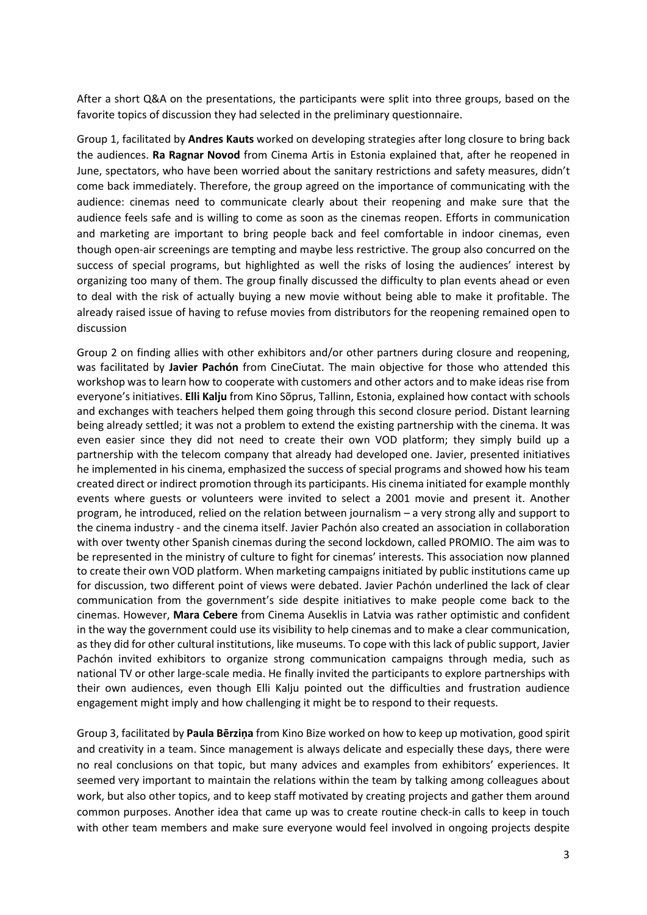After a short Q&A on the presentations, the participants were split into three groups, based on the favorite topics of discussion they had selected in the preliminary questionnaire.

Group 1, facilitated by **Andres Kauts** worked on developing strategies after long closure to bring back the audiences. **Ra Ragnar Novod** from Cinema Artis in Estonia explained that, after he reopened in June, spectators, who have been worried about the sanitary restrictions and safety measures, didn't come back immediately. Therefore, the group agreed on the importance of communicating with the audience: cinemas need to communicate clearly about their reopening and make sure that the audience feels safe and is willing to come as soon as the cinemas reopen. Efforts in communication and marketing are important to bring people back and feel comfortable in indoor cinemas, even though open-air screenings are tempting and maybe less restrictive. The group also concurred on the success of special programs, but highlighted as well the risks of losing the audiences' interest by organizing too many of them. The group finally discussed the difficulty to plan events ahead or even to deal with the risk of actually buying a new movie without being able to make it profitable. The already raised issue of having to refuse movies from distributors for the reopening remained open to discussion

Group 2 on finding allies with other exhibitors and/or other partners during closure and reopening, was facilitated by **Javier Pachón** from CineCiutat. The main objective for those who attended this workshop was to learn how to cooperate with customers and other actors and to make ideas rise from everyone's initiatives. **Elli Kalju** from Kino Sõprus, Tallinn, Estonia, explained how contact with schools and exchanges with teachers helped them going through this second closure period. Distant learning being already settled; it was not a problem to extend the existing partnership with the cinema. It was even easier since they did not need to create their own VOD platform; they simply build up a partnership with the telecom company that already had developed one. Javier, presented initiatives he implemented in his cinema, emphasized the success of special programs and showed how his team created direct or indirect promotion through its participants. His cinema initiated for example monthly events where guests or volunteers were invited to select a 2001 movie and present it. Another program, he introduced, relied on the relation between journalism – a very strong ally and support to the cinema industry - and the cinema itself. Javier Pachón also created an association in collaboration with over twenty other Spanish cinemas during the second lockdown, called PROMIO. The aim was to be represented in the ministry of culture to fight for cinemas' interests. This association now planned to create their own VOD platform. When marketing campaigns initiated by public institutions came up for discussion, two different point of views were debated. Javier Pachón underlined the lack of clear communication from the government's side despite initiatives to make people come back to the cinemas. However, **Mara Cebere** from Cinema Auseklis in Latvia was rather optimistic and confident in the way the government could use its visibility to help cinemas and to make a clear communication, as they did for other cultural institutions, like museums. To cope with this lack of public support, Javier Pachón invited exhibitors to organize strong communication campaigns through media, such as national TV or other large-scale media. He finally invited the participants to explore partnerships with their own audiences, even though Elli Kalju pointed out the difficulties and frustration audience engagement might imply and how challenging it might be to respond to their requests.

Group 3, facilitated by **Paula Bērziņa** from Kino Bize worked on how to keep up motivation, good spirit and creativity in a team. Since management is always delicate and especially these days, there were no real conclusions on that topic, but many advices and examples from exhibitors' experiences. It seemed very important to maintain the relations within the team by talking among colleagues about work, but also other topics, and to keep staff motivated by creating projects and gather them around common purposes. Another idea that came up was to create routine check-in calls to keep in touch with other team members and make sure everyone would feel involved in ongoing projects despite